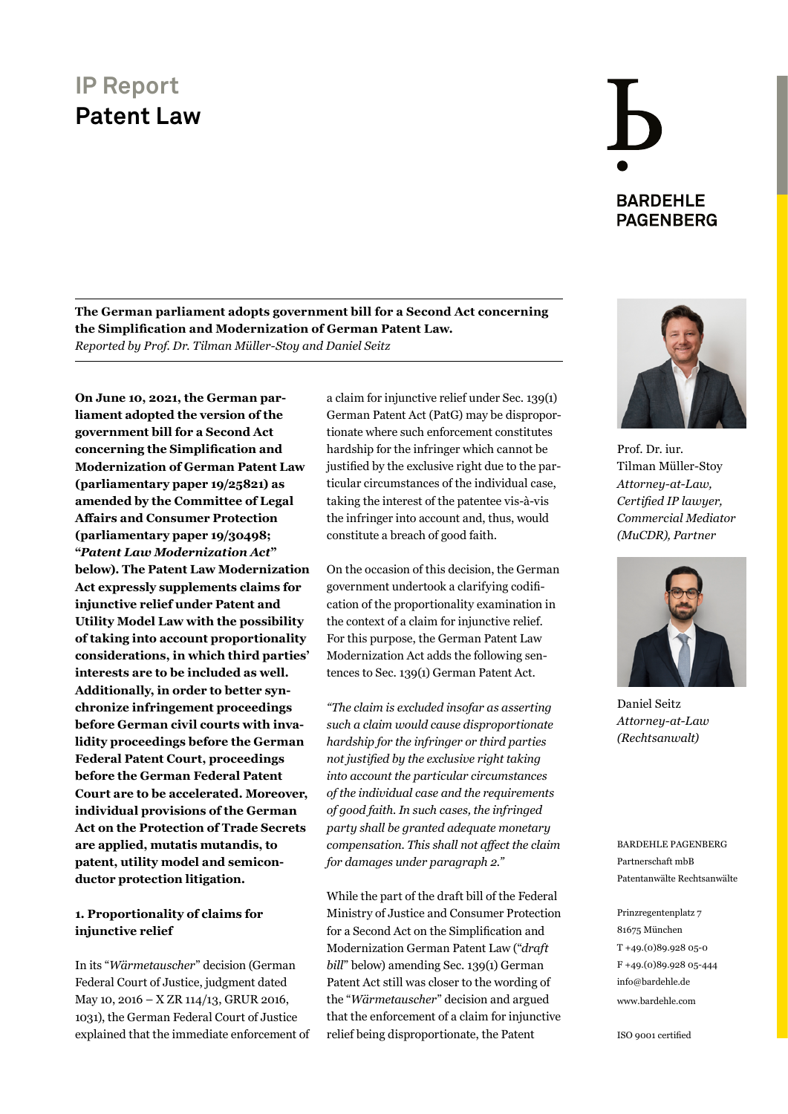**The German parliament adopts government bill for a Second Act concerning the Simplification and Modernization of German Patent Law.** *Reported by Prof. Dr. Tilman Müller-Stoy and Daniel Seitz*

**On June 10, 2021, the German parliament adopted the version of the government bill for a Second Act concerning the Simplification and Modernization of German Patent Law (parliamentary paper 19/25821) as amended by the Committee of Legal Affairs and Consumer Protection (parliamentary paper 19/30498; "***Patent Law Modernization Act***" below). The Patent Law Modernization Act expressly supplements claims for injunctive relief under Patent and Utility Model Law with the possibility of taking into account proportionality considerations, in which third parties' interests are to be included as well. Additionally, in order to better synchronize infringement proceedings before German civil courts with invalidity proceedings before the German Federal Patent Court, proceedings before the German Federal Patent Court are to be accelerated. Moreover, individual provisions of the German Act on the Protection of Trade Secrets are applied, mutatis mutandis, to patent, utility model and semiconductor protection litigation.**

#### **1. Proportionality of claims for injunctive relief**

In its "*Wärmetauscher*" decision (German Federal Court of Justice, judgment dated May 10, 2016 – X ZR 114/13, GRUR 2016, 1031), the German Federal Court of Justice explained that the immediate enforcement of a claim for injunctive relief under Sec. 139(1) German Patent Act (PatG) may be disproportionate where such enforcement constitutes hardship for the infringer which cannot be justified by the exclusive right due to the particular circumstances of the individual case, taking the interest of the patentee vis-à-vis the infringer into account and, thus, would constitute a breach of good faith.

On the occasion of this decision, the German government undertook a clarifying codification of the proportionality examination in the context of a claim for injunctive relief. For this purpose, the German Patent Law Modernization Act adds the following sentences to Sec. 139(1) German Patent Act.

*"The claim is excluded insofar as asserting such a claim would cause disproportionate hardship for the infringer or third parties not justified by the exclusive right taking into account the particular circumstances of the individual case and the requirements of good faith. In such cases, the infringed party shall be granted adequate monetary compensation. This shall not affect the claim for damages under paragraph 2."*

While the part of the draft bill of the Federal Ministry of Justice and Consumer Protection for a Second Act on the Simplification and Modernization German Patent Law ("*draft bill*" below) amending Sec. 139(1) German Patent Act still was closer to the wording of the "*Wärmetauscher*" decision and argued that the enforcement of a claim for injunctive relief being disproportionate, the Patent



**BARDEHLE PAGENBERG** 

Prof. Dr. iur. Tilman Müller-Stoy *Attorney-at-Law, Certified IP lawyer, [Commercial Mediator](https://www.bardehle.com/en/team/mueller-stoy-tilman)  (MuCDR), Partner*



Daniel Seitz *[Attorney-at-Law](https://www.bardehle.com/en/team/seitz-daniel)  (Rechtsanwalt)*

BARDEHLE PAGENBERG Partnerschaft mbB Patentanwälte Rechtsanwälte

Prinzregentenplatz 7 81675 München T +49.(0)89.928 05-0 F +49.(0)89.928 05-444 [info@bardehle.de](mailto:info%40bardehle.de?subject=) [www.bardehle.com](https://www.bardehle.com)

ISO 9001 certified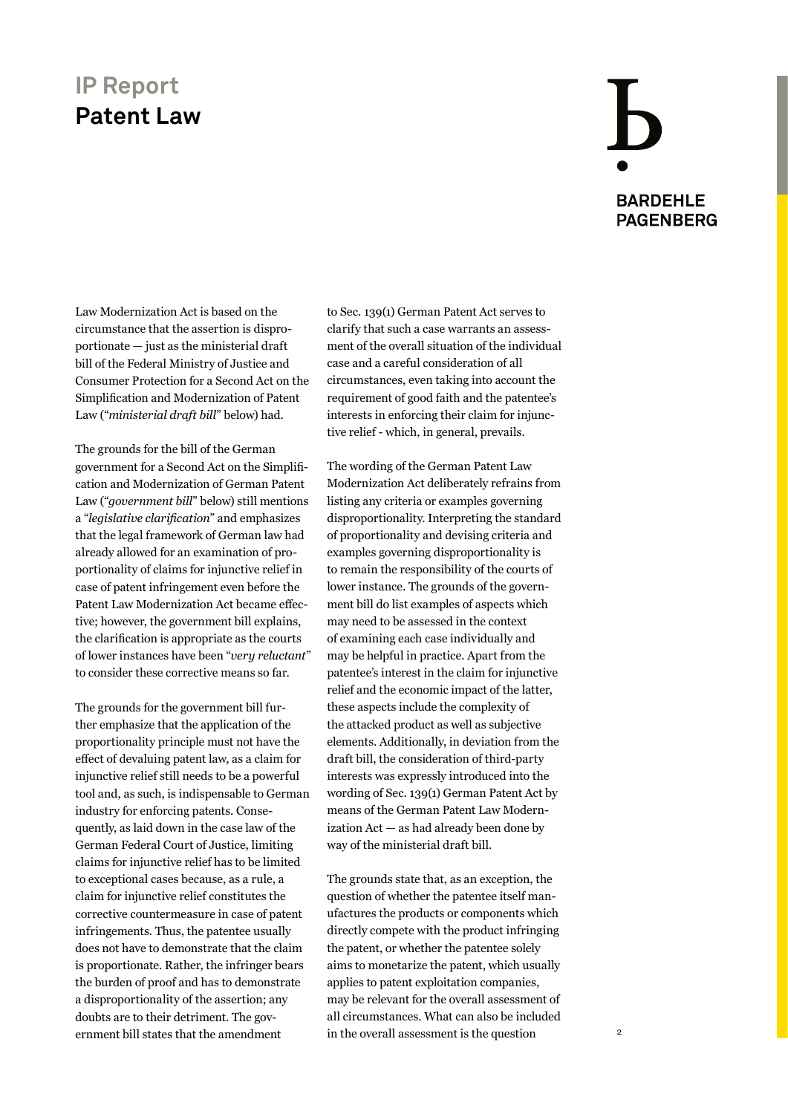## **BARDEHLE PAGENBERG**

Law Modernization Act is based on the circumstance that the assertion is disproportionate — just as the ministerial draft bill of the Federal Ministry of Justice and Consumer Protection for a Second Act on the Simplification and Modernization of Patent Law ("*ministerial draft bill*" below) had.

The grounds for the bill of the German government for a Second Act on the Simplification and Modernization of German Patent Law ("*government bill*" below) still mentions a "*legislative clarification*" and emphasizes that the legal framework of German law had already allowed for an examination of proportionality of claims for injunctive relief in case of patent infringement even before the Patent Law Modernization Act became effective; however, the government bill explains, the clarification is appropriate as the courts of lower instances have been "*very reluctant*" to consider these corrective means so far.

The grounds for the government bill further emphasize that the application of the proportionality principle must not have the effect of devaluing patent law, as a claim for injunctive relief still needs to be a powerful tool and, as such, is indispensable to German industry for enforcing patents. Consequently, as laid down in the case law of the German Federal Court of Justice, limiting claims for injunctive relief has to be limited to exceptional cases because, as a rule, a claim for injunctive relief constitutes the corrective countermeasure in case of patent infringements. Thus, the patentee usually does not have to demonstrate that the claim is proportionate. Rather, the infringer bears the burden of proof and has to demonstrate a disproportionality of the assertion; any doubts are to their detriment. The government bill states that the amendment

to Sec. 139(1) German Patent Act serves to clarify that such a case warrants an assessment of the overall situation of the individual case and a careful consideration of all circumstances, even taking into account the requirement of good faith and the patentee's interests in enforcing their claim for injunctive relief - which, in general, prevails.

The wording of the German Patent Law Modernization Act deliberately refrains from listing any criteria or examples governing disproportionality. Interpreting the standard of proportionality and devising criteria and examples governing disproportionality is to remain the responsibility of the courts of lower instance. The grounds of the government bill do list examples of aspects which may need to be assessed in the context of examining each case individually and may be helpful in practice. Apart from the patentee's interest in the claim for injunctive relief and the economic impact of the latter, these aspects include the complexity of the attacked product as well as subjective elements. Additionally, in deviation from the draft bill, the consideration of third-party interests was expressly introduced into the wording of Sec. 139(1) German Patent Act by means of the German Patent Law Modernization Act — as had already been done by way of the ministerial draft bill.

The grounds state that, as an exception, the question of whether the patentee itself manufactures the products or components which directly compete with the product infringing the patent, or whether the patentee solely aims to monetarize the patent, which usually applies to patent exploitation companies, may be relevant for the overall assessment of all circumstances. What can also be included in the overall assessment is the question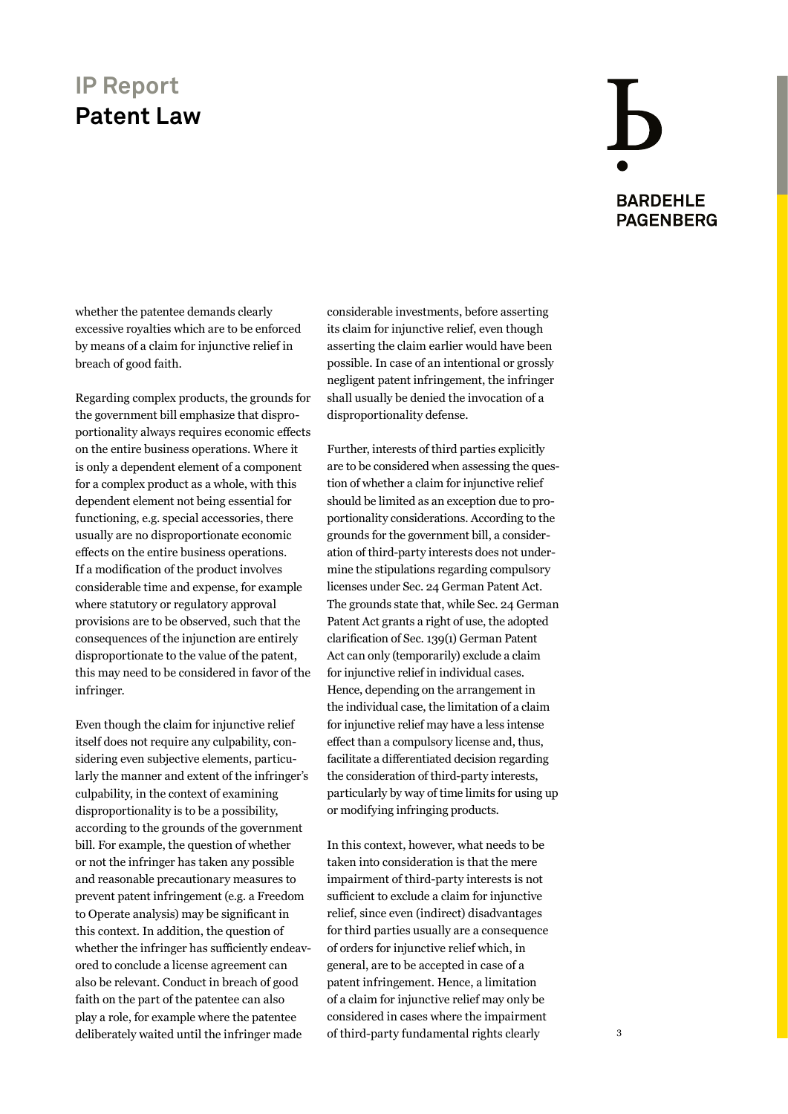### $\bf{b}$ **BARDEHLE PAGENBERG**

whether the patentee demands clearly excessive royalties which are to be enforced by means of a claim for injunctive relief in breach of good faith.

Regarding complex products, the grounds for the government bill emphasize that disproportionality always requires economic effects on the entire business operations. Where it is only a dependent element of a component for a complex product as a whole, with this dependent element not being essential for functioning, e.g. special accessories, there usually are no disproportionate economic effects on the entire business operations. If a modification of the product involves considerable time and expense, for example where statutory or regulatory approval provisions are to be observed, such that the consequences of the injunction are entirely disproportionate to the value of the patent, this may need to be considered in favor of the infringer.

Even though the claim for injunctive relief itself does not require any culpability, considering even subjective elements, particularly the manner and extent of the infringer's culpability, in the context of examining disproportionality is to be a possibility, according to the grounds of the government bill. For example, the question of whether or not the infringer has taken any possible and reasonable precautionary measures to prevent patent infringement (e.g. a Freedom to Operate analysis) may be significant in this context. In addition, the question of whether the infringer has sufficiently endeavored to conclude a license agreement can also be relevant. Conduct in breach of good faith on the part of the patentee can also play a role, for example where the patentee deliberately waited until the infringer made

considerable investments, before asserting its claim for injunctive relief, even though asserting the claim earlier would have been possible. In case of an intentional or grossly negligent patent infringement, the infringer shall usually be denied the invocation of a disproportionality defense.

Further, interests of third parties explicitly are to be considered when assessing the question of whether a claim for injunctive relief should be limited as an exception due to proportionality considerations. According to the grounds for the government bill, a consideration of third-party interests does not undermine the stipulations regarding compulsory licenses under Sec. 24 German Patent Act. The grounds state that, while Sec. 24 German Patent Act grants a right of use, the adopted clarification of Sec. 139(1) German Patent Act can only (temporarily) exclude a claim for injunctive relief in individual cases. Hence, depending on the arrangement in the individual case, the limitation of a claim for injunctive relief may have a less intense effect than a compulsory license and, thus, facilitate a differentiated decision regarding the consideration of third-party interests, particularly by way of time limits for using up or modifying infringing products.

In this context, however, what needs to be taken into consideration is that the mere impairment of third-party interests is not sufficient to exclude a claim for injunctive relief, since even (indirect) disadvantages for third parties usually are a consequence of orders for injunctive relief which, in general, are to be accepted in case of a patent infringement. Hence, a limitation of a claim for injunctive relief may only be considered in cases where the impairment of third-party fundamental rights clearly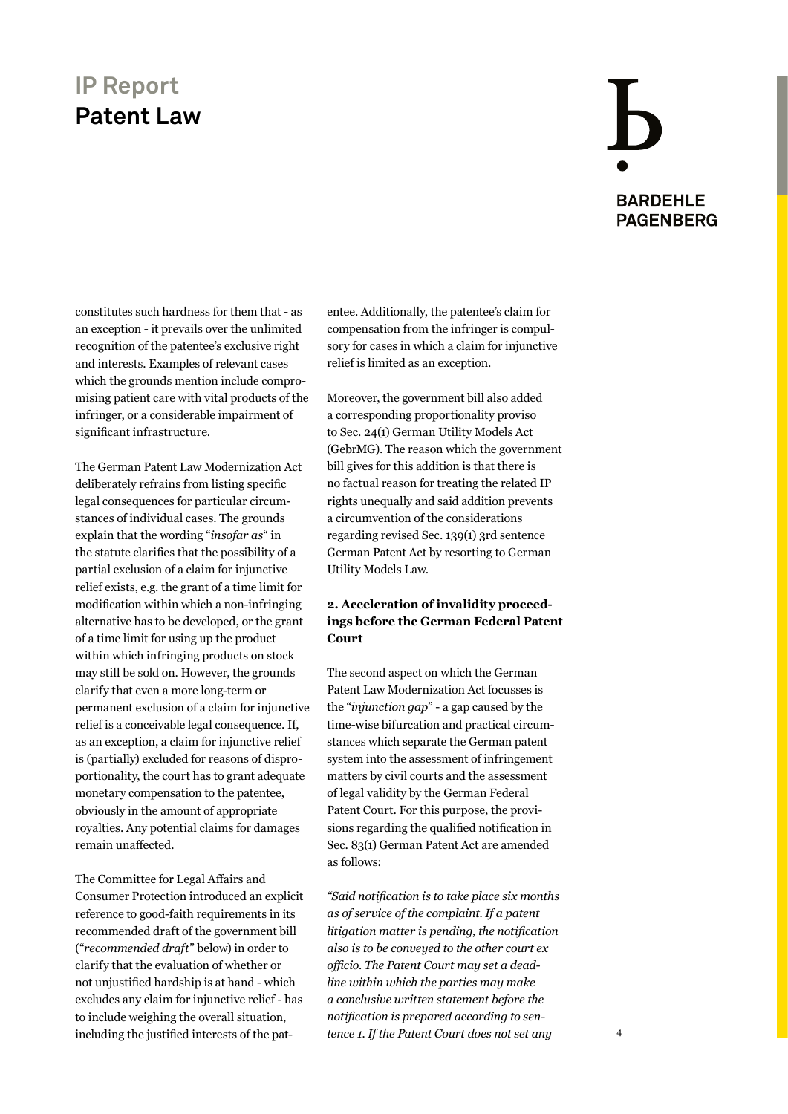## **BARDEHLE PAGENBERG**

constitutes such hardness for them that - as an exception - it prevails over the unlimited recognition of the patentee's exclusive right and interests. Examples of relevant cases which the grounds mention include compromising patient care with vital products of the infringer, or a considerable impairment of significant infrastructure.

The German Patent Law Modernization Act deliberately refrains from listing specific legal consequences for particular circumstances of individual cases. The grounds explain that the wording "*insofar as*" in the statute clarifies that the possibility of a partial exclusion of a claim for injunctive relief exists, e.g. the grant of a time limit for modification within which a non-infringing alternative has to be developed, or the grant of a time limit for using up the product within which infringing products on stock may still be sold on. However, the grounds clarify that even a more long-term or permanent exclusion of a claim for injunctive relief is a conceivable legal consequence. If, as an exception, a claim for injunctive relief is (partially) excluded for reasons of disproportionality, the court has to grant adequate monetary compensation to the patentee, obviously in the amount of appropriate royalties. Any potential claims for damages remain unaffected.

The Committee for Legal Affairs and Consumer Protection introduced an explicit reference to good-faith requirements in its recommended draft of the government bill ("*recommended draft*" below) in order to clarify that the evaluation of whether or not unjustified hardship is at hand - which excludes any claim for injunctive relief - has to include weighing the overall situation, including the justified interests of the pat-

entee. Additionally, the patentee's claim for compensation from the infringer is compulsory for cases in which a claim for injunctive relief is limited as an exception.

Moreover, the government bill also added a corresponding proportionality proviso to Sec. 24(1) German Utility Models Act (GebrMG). The reason which the government bill gives for this addition is that there is no factual reason for treating the related IP rights unequally and said addition prevents a circumvention of the considerations regarding revised Sec. 139(1) 3rd sentence German Patent Act by resorting to German Utility Models Law.

#### **2. Acceleration of invalidity proceedings before the German Federal Patent Court**

The second aspect on which the German Patent Law Modernization Act focusses is the "*injunction gap*" - a gap caused by the time-wise bifurcation and practical circumstances which separate the German patent system into the assessment of infringement matters by civil courts and the assessment of legal validity by the German Federal Patent Court. For this purpose, the provisions regarding the qualified notification in Sec. 83(1) German Patent Act are amended as follows:

*"Said notification is to take place six months as of service of the complaint. If a patent litigation matter is pending, the notification also is to be conveyed to the other court ex officio. The Patent Court may set a deadline within which the parties may make a conclusive written statement before the notification is prepared according to sentence 1. If the Patent Court does not set any*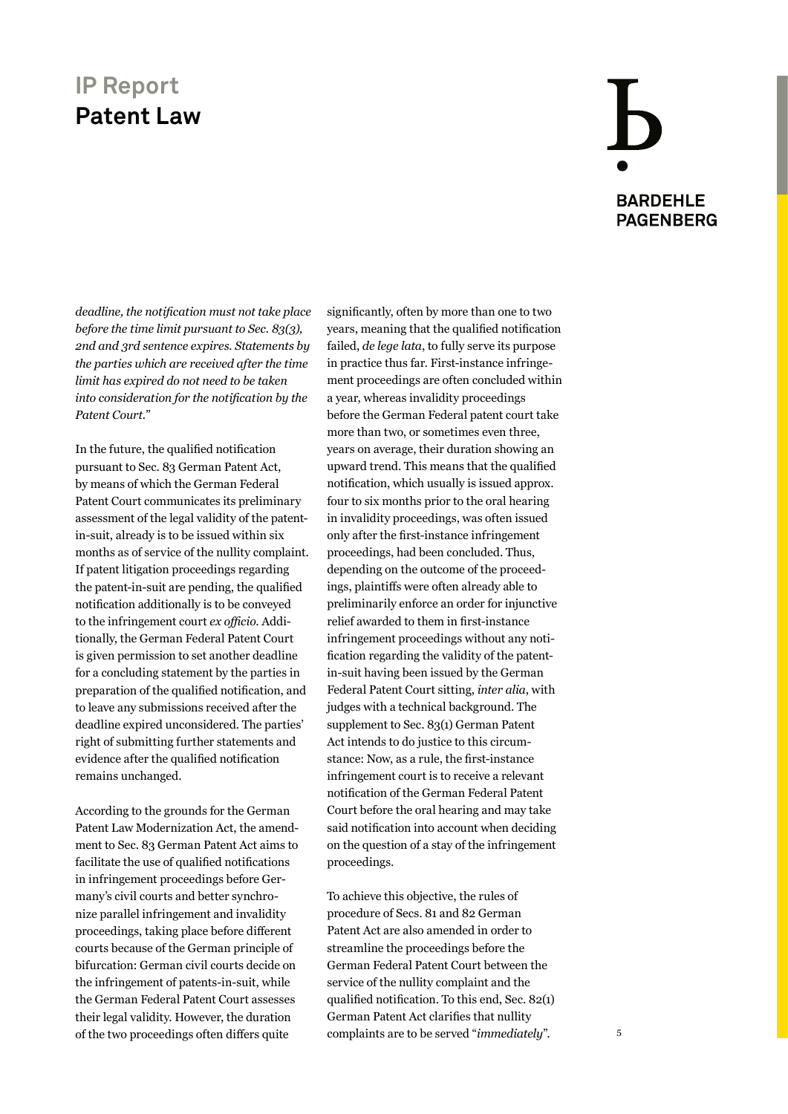## **BARDEHLE PAGENBERG**

*deadline, the notification must not take place before the time limit pursuant to Sec. 83(3), 2nd and 3rd sentence expires. Statements by the parties which are received after the time limit has expired do not need to be taken into consideration for the notification by the Patent Court."*

In the future, the qualified notification pursuant to Sec. 83 German Patent Act, by means of which the German Federal Patent Court communicates its preliminary assessment of the legal validity of the patentin-suit, already is to be issued within six months as of service of the nullity complaint. If patent litigation proceedings regarding the patent-in-suit are pending, the qualified notification additionally is to be conveyed to the infringement court *ex officio*. Additionally, the German Federal Patent Court is given permission to set another deadline for a concluding statement by the parties in preparation of the qualified notification, and to leave any submissions received after the deadline expired unconsidered. The parties' right of submitting further statements and evidence after the qualified notification remains unchanged.

According to the grounds for the German Patent Law Modernization Act, the amendment to Sec. 83 German Patent Act aims to facilitate the use of qualified notifications in infringement proceedings before Germany's civil courts and better synchronize parallel infringement and invalidity proceedings, taking place before different courts because of the German principle of bifurcation: German civil courts decide on the infringement of patents-in-suit, while the German Federal Patent Court assesses their legal validity. However, the duration of the two proceedings often differs quite

significantly, often by more than one to two years, meaning that the qualified notification failed, *de lege lata*, to fully serve its purpose in practice thus far. First-instance infringement proceedings are often concluded within a year, whereas invalidity proceedings before the German Federal patent court take more than two, or sometimes even three, years on average, their duration showing an upward trend. This means that the qualified notification, which usually is issued approx. four to six months prior to the oral hearing in invalidity proceedings, was often issued only after the first-instance infringement proceedings, had been concluded. Thus, depending on the outcome of the proceedings, plaintiffs were often already able to preliminarily enforce an order for injunctive relief awarded to them in first-instance infringement proceedings without any notification regarding the validity of the patentin-suit having been issued by the German Federal Patent Court sitting, *inter alia*, with judges with a technical background. The supplement to Sec. 83(1) German Patent Act intends to do justice to this circumstance: Now, as a rule, the first-instance infringement court is to receive a relevant notification of the German Federal Patent Court before the oral hearing and may take said notification into account when deciding on the question of a stay of the infringement proceedings.

To achieve this objective, the rules of procedure of Secs. 81 and 82 German Patent Act are also amended in order to streamline the proceedings before the German Federal Patent Court between the service of the nullity complaint and the qualified notification. To this end, Sec. 82(1) German Patent Act clarifies that nullity complaints are to be served "*immediately*".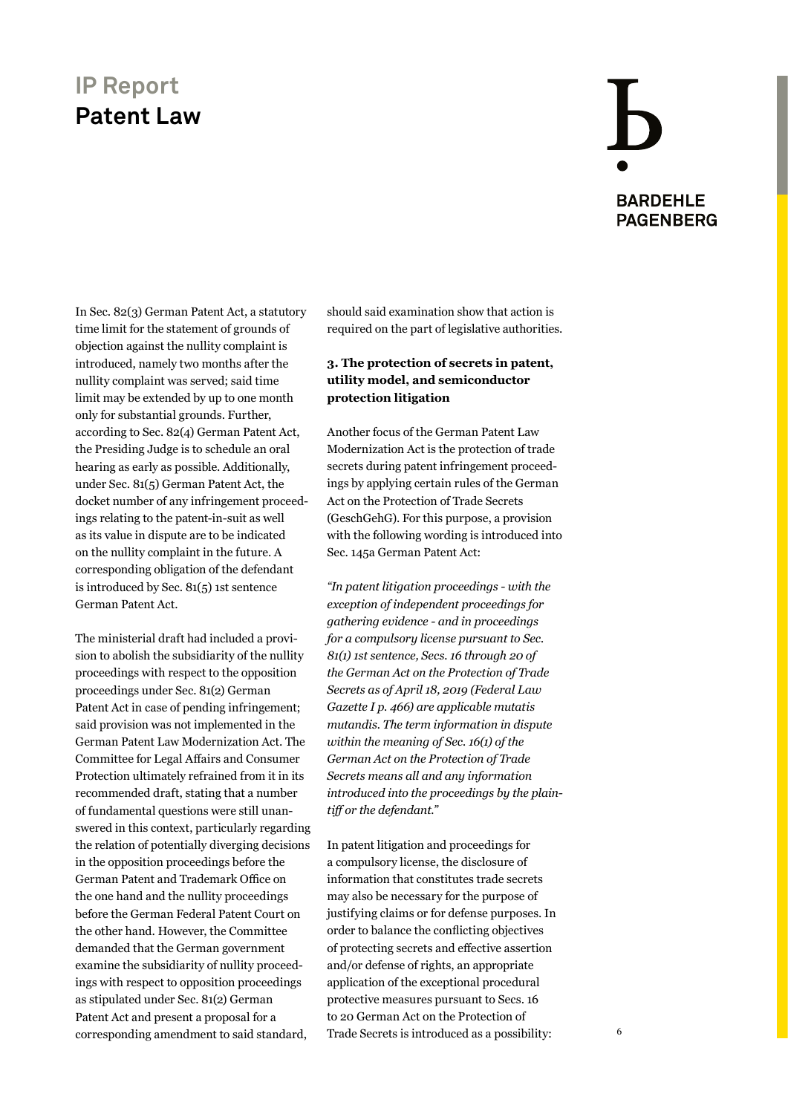### **BARDEHLE PAGENBERG**

In Sec. 82(3) German Patent Act, a statutory time limit for the statement of grounds of objection against the nullity complaint is introduced, namely two months after the nullity complaint was served; said time limit may be extended by up to one month only for substantial grounds. Further, according to Sec. 82(4) German Patent Act, the Presiding Judge is to schedule an oral hearing as early as possible. Additionally, under Sec. 81(5) German Patent Act, the docket number of any infringement proceedings relating to the patent-in-suit as well as its value in dispute are to be indicated on the nullity complaint in the future. A corresponding obligation of the defendant is introduced by Sec. 81(5) 1st sentence German Patent Act.

The ministerial draft had included a provision to abolish the subsidiarity of the nullity proceedings with respect to the opposition proceedings under Sec. 81(2) German Patent Act in case of pending infringement; said provision was not implemented in the German Patent Law Modernization Act. The Committee for Legal Affairs and Consumer Protection ultimately refrained from it in its recommended draft, stating that a number of fundamental questions were still unanswered in this context, particularly regarding the relation of potentially diverging decisions in the opposition proceedings before the German Patent and Trademark Office on the one hand and the nullity proceedings before the German Federal Patent Court on the other hand. However, the Committee demanded that the German government examine the subsidiarity of nullity proceedings with respect to opposition proceedings as stipulated under Sec. 81(2) German Patent Act and present a proposal for a corresponding amendment to said standard,

should said examination show that action is required on the part of legislative authorities.

#### **3. The protection of secrets in patent, utility model, and semiconductor protection litigation**

Another focus of the German Patent Law Modernization Act is the protection of trade secrets during patent infringement proceedings by applying certain rules of the German Act on the Protection of Trade Secrets (GeschGehG). For this purpose, a provision with the following wording is introduced into Sec. 145a German Patent Act:

*"In patent litigation proceedings - with the exception of independent proceedings for gathering evidence - and in proceedings for a compulsory license pursuant to Sec. 81(1) 1st sentence, Secs. 16 through 20 of the German Act on the Protection of Trade Secrets as of April 18, 2019 (Federal Law Gazette I p. 466) are applicable mutatis mutandis. The term information in dispute within the meaning of Sec. 16(1) of the German Act on the Protection of Trade Secrets means all and any information introduced into the proceedings by the plaintiff or the defendant."* 

In patent litigation and proceedings for a compulsory license, the disclosure of information that constitutes trade secrets may also be necessary for the purpose of justifying claims or for defense purposes. In order to balance the conflicting objectives of protecting secrets and effective assertion and/or defense of rights, an appropriate application of the exceptional procedural protective measures pursuant to Secs. 16 to 20 German Act on the Protection of Trade Secrets is introduced as a possibility: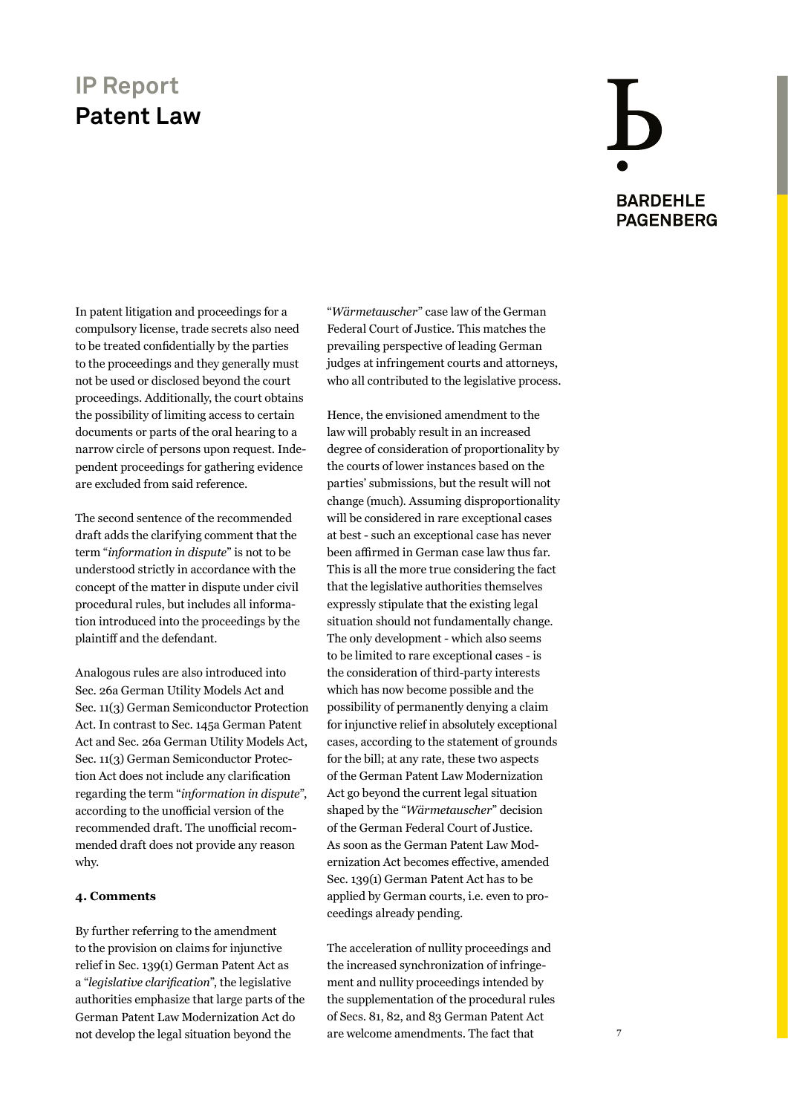## **BARDEHLE PAGENBERG**

In patent litigation and proceedings for a compulsory license, trade secrets also need to be treated confidentially by the parties to the proceedings and they generally must not be used or disclosed beyond the court proceedings. Additionally, the court obtains the possibility of limiting access to certain documents or parts of the oral hearing to a narrow circle of persons upon request. Independent proceedings for gathering evidence are excluded from said reference.

The second sentence of the recommended draft adds the clarifying comment that the term "*information in dispute*" is not to be understood strictly in accordance with the concept of the matter in dispute under civil procedural rules, but includes all information introduced into the proceedings by the plaintiff and the defendant.

Analogous rules are also introduced into Sec. 26a German Utility Models Act and Sec. 11(3) German Semiconductor Protection Act. In contrast to Sec. 145a German Patent Act and Sec. 26a German Utility Models Act, Sec. 11(3) German Semiconductor Protection Act does not include any clarification regarding the term "*information in dispute*", according to the unofficial version of the recommended draft. The unofficial recommended draft does not provide any reason why.

#### **4. Comments**

By further referring to the amendment to the provision on claims for injunctive relief in Sec. 139(1) German Patent Act as a "*legislative clarification*", the legislative authorities emphasize that large parts of the German Patent Law Modernization Act do not develop the legal situation beyond the

"*Wärmetauscher*" case law of the German Federal Court of Justice. This matches the prevailing perspective of leading German judges at infringement courts and attorneys, who all contributed to the legislative process.

Hence, the envisioned amendment to the law will probably result in an increased degree of consideration of proportionality by the courts of lower instances based on the parties' submissions, but the result will not change (much). Assuming disproportionality will be considered in rare exceptional cases at best - such an exceptional case has never been affirmed in German case law thus far. This is all the more true considering the fact that the legislative authorities themselves expressly stipulate that the existing legal situation should not fundamentally change. The only development - which also seems to be limited to rare exceptional cases - is the consideration of third-party interests which has now become possible and the possibility of permanently denying a claim for injunctive relief in absolutely exceptional cases, according to the statement of grounds for the bill; at any rate, these two aspects of the German Patent Law Modernization Act go beyond the current legal situation shaped by the "*Wärmetauscher*" decision of the German Federal Court of Justice. As soon as the German Patent Law Modernization Act becomes effective, amended Sec. 139(1) German Patent Act has to be applied by German courts, i.e. even to proceedings already pending.

The acceleration of nullity proceedings and the increased synchronization of infringement and nullity proceedings intended by the supplementation of the procedural rules of Secs. 81, 82, and 83 German Patent Act are welcome amendments. The fact that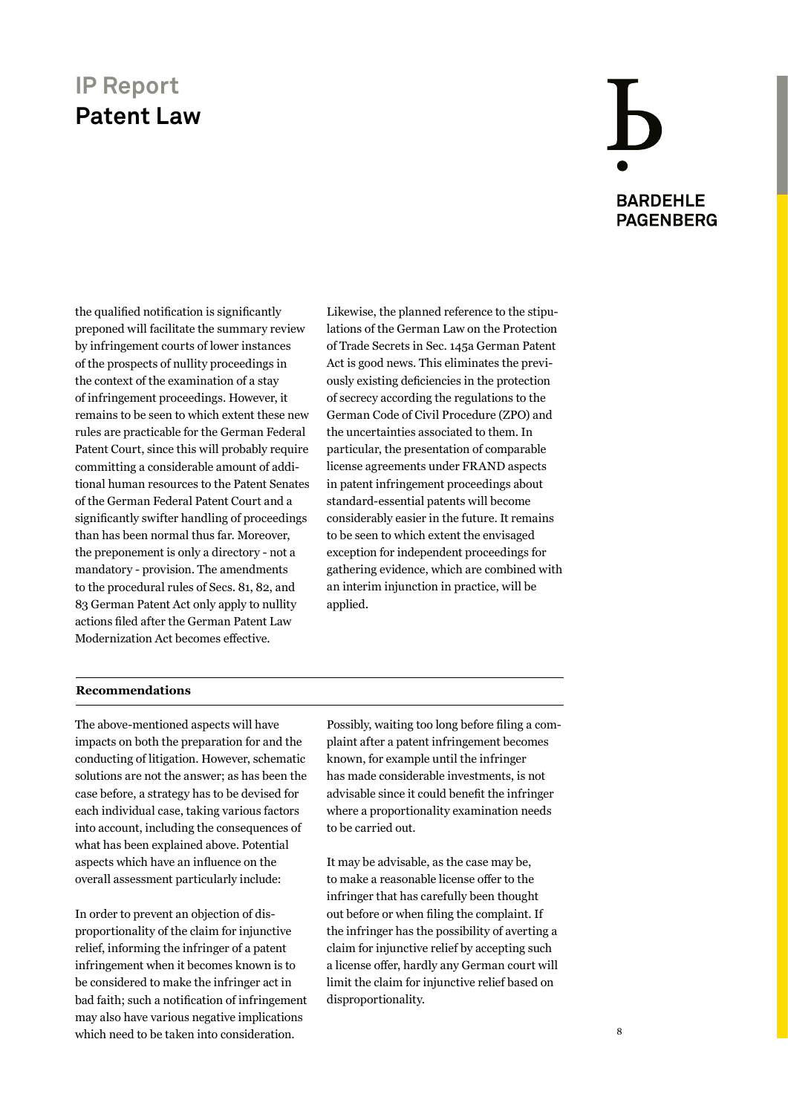# **BARDEHLE PAGENBERG**

the qualified notification is significantly preponed will facilitate the summary review by infringement courts of lower instances of the prospects of nullity proceedings in the context of the examination of a stay of infringement proceedings. However, it remains to be seen to which extent these new rules are practicable for the German Federal Patent Court, since this will probably require committing a considerable amount of additional human resources to the Patent Senates of the German Federal Patent Court and a significantly swifter handling of proceedings than has been normal thus far. Moreover, the preponement is only a directory - not a mandatory - provision. The amendments to the procedural rules of Secs. 81, 82, and 83 German Patent Act only apply to nullity actions filed after the German Patent Law Modernization Act becomes effective.

Likewise, the planned reference to the stipulations of the German Law on the Protection of Trade Secrets in Sec. 145a German Patent Act is good news. This eliminates the previously existing deficiencies in the protection of secrecy according the regulations to the German Code of Civil Procedure (ZPO) and the uncertainties associated to them. In particular, the presentation of comparable license agreements under FRAND aspects in patent infringement proceedings about standard-essential patents will become considerably easier in the future. It remains to be seen to which extent the envisaged exception for independent proceedings for gathering evidence, which are combined with an interim injunction in practice, will be applied.

#### **Recommendations**

The above-mentioned aspects will have impacts on both the preparation for and the conducting of litigation. However, schematic solutions are not the answer; as has been the case before, a strategy has to be devised for each individual case, taking various factors into account, including the consequences of what has been explained above. Potential aspects which have an influence on the overall assessment particularly include:

In order to prevent an objection of disproportionality of the claim for injunctive relief, informing the infringer of a patent infringement when it becomes known is to be considered to make the infringer act in bad faith; such a notification of infringement may also have various negative implications which need to be taken into consideration.

Possibly, waiting too long before filing a complaint after a patent infringement becomes known, for example until the infringer has made considerable investments, is not advisable since it could benefit the infringer where a proportionality examination needs to be carried out.

It may be advisable, as the case may be, to make a reasonable license offer to the infringer that has carefully been thought out before or when filing the complaint. If the infringer has the possibility of averting a claim for injunctive relief by accepting such a license offer, hardly any German court will limit the claim for injunctive relief based on disproportionality.